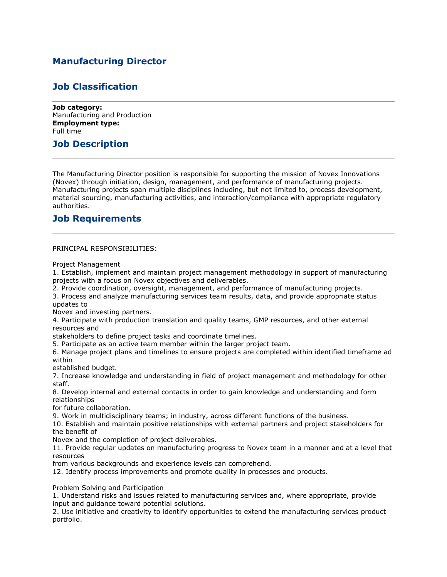# **Manufacturing Director**

## **Job Classification**

**Job category:** Manufacturing and Production **Employment type:** Full time

## **Job Description**

The Manufacturing Director position is responsible for supporting the mission of Novex Innovations (Novex) through initiation, design, management, and performance of manufacturing projects. Manufacturing projects span multiple disciplines including, but not limited to, process development, material sourcing, manufacturing activities, and interaction/compliance with appropriate regulatory authorities.

### **Job Requirements**

PRINCIPAL RESPONSIBILITIES:

Project Management

1. Establish, implement and maintain project management methodology in support of manufacturing projects with a focus on Novex objectives and deliverables.

2. Provide coordination, oversight, management, and performance of manufacturing projects.

3. Process and analyze manufacturing services team results, data, and provide appropriate status updates to

Novex and investing partners.

4. Participate with production translation and quality teams, GMP resources, and other external resources and

stakeholders to define project tasks and coordinate timelines.

5. Participate as an active team member within the larger project team.

6. Manage project plans and timelines to ensure projects are completed within identified timeframe ad within

established budget.

7. Increase knowledge and understanding in field of project management and methodology for other staff.

8. Develop internal and external contacts in order to gain knowledge and understanding and form relationships

for future collaboration.

9. Work in multidisciplinary teams; in industry, across different functions of the business.

10. Establish and maintain positive relationships with external partners and project stakeholders for the benefit of

Novex and the completion of project deliverables.

11. Provide regular updates on manufacturing progress to Novex team in a manner and at a level that resources

from various backgrounds and experience levels can comprehend.

12. Identify process improvements and promote quality in processes and products.

Problem Solving and Participation

1. Understand risks and issues related to manufacturing services and, where appropriate, provide input and guidance toward potential solutions.

2. Use initiative and creativity to identify opportunities to extend the manufacturing services product portfolio.